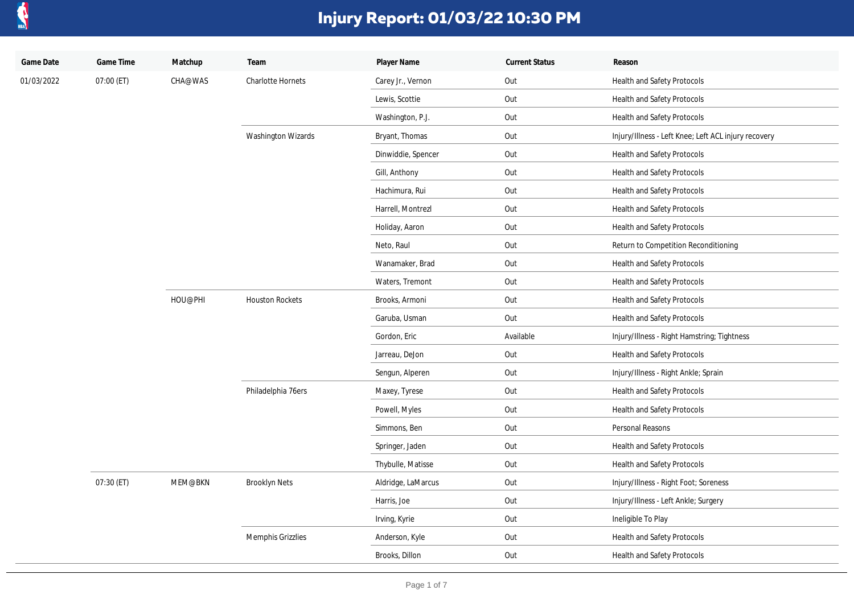

| Game Date  | Game Time  | Matchup | Team                   | Player Name        | <b>Current Status</b> | Reason                                               |
|------------|------------|---------|------------------------|--------------------|-----------------------|------------------------------------------------------|
| 01/03/2022 | 07:00 (ET) | CHA@WAS | Charlotte Hornets      | Carey Jr., Vernon  | Out                   | Health and Safety Protocols                          |
|            |            |         |                        | Lewis, Scottie     | Out                   | Health and Safety Protocols                          |
|            |            |         |                        | Washington, P.J.   | Out                   | Health and Safety Protocols                          |
|            |            |         | Washington Wizards     | Bryant, Thomas     | Out                   | Injury/Illness - Left Knee; Left ACL injury recovery |
|            |            |         |                        | Dinwiddie, Spencer | Out                   | Health and Safety Protocols                          |
|            |            |         |                        | Gill, Anthony      | Out                   | Health and Safety Protocols                          |
|            |            |         |                        | Hachimura, Rui     | Out                   | Health and Safety Protocols                          |
|            |            |         |                        | Harrell, Montrezl  | Out                   | Health and Safety Protocols                          |
|            |            |         |                        | Holiday, Aaron     | Out                   | Health and Safety Protocols                          |
|            |            |         |                        | Neto, Raul         | Out                   | Return to Competition Reconditioning                 |
|            |            |         |                        | Wanamaker, Brad    | Out                   | Health and Safety Protocols                          |
|            |            |         |                        | Waters, Tremont    | Out                   | Health and Safety Protocols                          |
|            |            | HOU@PHI | <b>Houston Rockets</b> | Brooks, Armoni     | Out                   | Health and Safety Protocols                          |
|            |            |         |                        | Garuba, Usman      | Out                   | Health and Safety Protocols                          |
|            |            |         |                        | Gordon, Eric       | Available             | Injury/Illness - Right Hamstring; Tightness          |
|            |            |         |                        | Jarreau, DeJon     | Out                   | Health and Safety Protocols                          |
|            |            |         |                        | Sengun, Alperen    | Out                   | Injury/Illness - Right Ankle; Sprain                 |
|            |            |         | Philadelphia 76ers     | Maxey, Tyrese      | Out                   | Health and Safety Protocols                          |
|            |            |         |                        | Powell, Myles      | Out                   | Health and Safety Protocols                          |
|            |            |         |                        | Simmons, Ben       | Out                   | Personal Reasons                                     |
|            |            |         |                        | Springer, Jaden    | Out                   | Health and Safety Protocols                          |
|            |            |         |                        | Thybulle, Matisse  | Out                   | Health and Safety Protocols                          |
|            | 07:30 (ET) | MEM@BKN | <b>Brooklyn Nets</b>   | Aldridge, LaMarcus | Out                   | Injury/Illness - Right Foot; Soreness                |
|            |            |         |                        | Harris, Joe        | Out                   | Injury/Illness - Left Ankle; Surgery                 |
|            |            |         |                        | Irving, Kyrie      | Out                   | Ineligible To Play                                   |
|            |            |         | Memphis Grizzlies      | Anderson, Kyle     | Out                   | Health and Safety Protocols                          |
|            |            |         |                        | Brooks, Dillon     | Out                   | Health and Safety Protocols                          |
|            |            |         |                        |                    |                       |                                                      |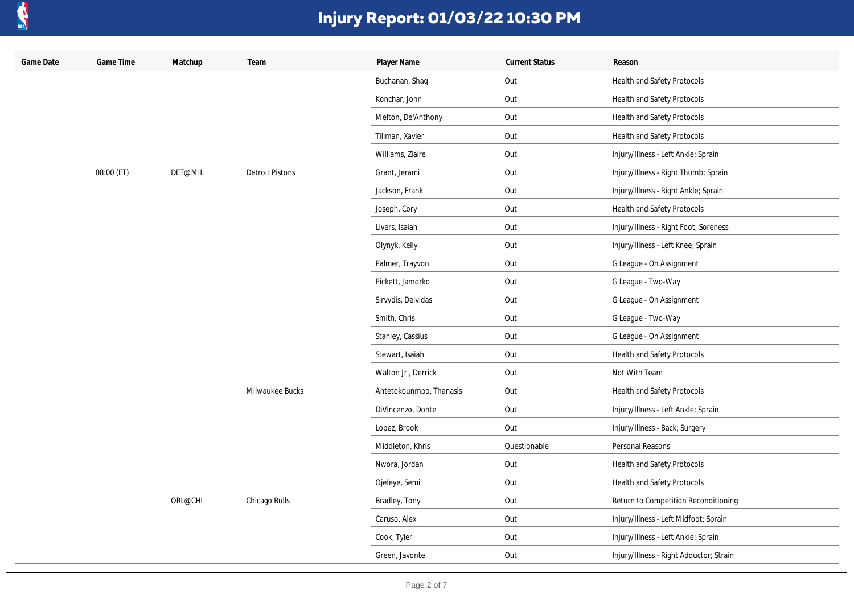

| Game Date | Game Time  | Matchup | Team                   | Player Name             | <b>Current Status</b> | Reason                                  |
|-----------|------------|---------|------------------------|-------------------------|-----------------------|-----------------------------------------|
|           |            |         |                        | Buchanan, Shaq          | Out                   | Health and Safety Protocols             |
|           |            |         |                        | Konchar, John           | Out                   | Health and Safety Protocols             |
|           |            |         |                        | Melton, De'Anthony      | Out                   | Health and Safety Protocols             |
|           |            |         |                        | Tillman, Xavier         | Out                   | Health and Safety Protocols             |
|           |            |         |                        | Williams, Ziaire        | Out                   | Injury/Illness - Left Ankle; Sprain     |
|           | 08:00 (ET) | DET@MIL | <b>Detroit Pistons</b> | Grant, Jerami           | Out                   | Injury/Illness - Right Thumb; Sprain    |
|           |            |         |                        | Jackson, Frank          | Out                   | Injury/Illness - Right Ankle; Sprain    |
|           |            |         |                        | Joseph, Cory            | Out                   | Health and Safety Protocols             |
|           |            |         |                        | Livers, Isaiah          | Out                   | Injury/Illness - Right Foot; Soreness   |
|           |            |         |                        | Olynyk, Kelly           | Out                   | Injury/Illness - Left Knee; Sprain      |
|           |            |         |                        | Palmer, Trayvon         | Out                   | G League - On Assignment                |
|           |            |         |                        | Pickett, Jamorko        | Out                   | G League - Two-Way                      |
|           |            |         |                        | Sirvydis, Deividas      | Out                   | G League - On Assignment                |
|           |            |         |                        | Smith, Chris            | Out                   | G League - Two-Way                      |
|           |            |         |                        | Stanley, Cassius        | Out                   | G League - On Assignment                |
|           |            |         |                        | Stewart, Isaiah         | Out                   | Health and Safety Protocols             |
|           |            |         |                        | Walton Jr., Derrick     | Out                   | Not With Team                           |
|           |            |         | Milwaukee Bucks        | Antetokounmpo, Thanasis | Out                   | Health and Safety Protocols             |
|           |            |         |                        | DiVincenzo, Donte       | Out                   | Injury/Illness - Left Ankle; Sprain     |
|           |            |         |                        | Lopez, Brook            | Out                   | Injury/Illness - Back; Surgery          |
|           |            |         |                        | Middleton, Khris        | Questionable          | Personal Reasons                        |
|           |            |         |                        | Nwora, Jordan           | Out                   | Health and Safety Protocols             |
|           |            |         |                        | Ojeleye, Semi           | Out                   | Health and Safety Protocols             |
|           |            | ORL@CHI | Chicago Bulls          | Bradley, Tony           | Out                   | Return to Competition Reconditioning    |
|           |            |         |                        | Caruso, Alex            | Out                   | Injury/Illness - Left Midfoot; Sprain   |
|           |            |         |                        | Cook, Tyler             | Out                   | Injury/Illness - Left Ankle; Sprain     |
|           |            |         |                        | Green, Javonte          | Out                   | Injury/Illness - Right Adductor; Strain |
|           |            |         |                        |                         |                       |                                         |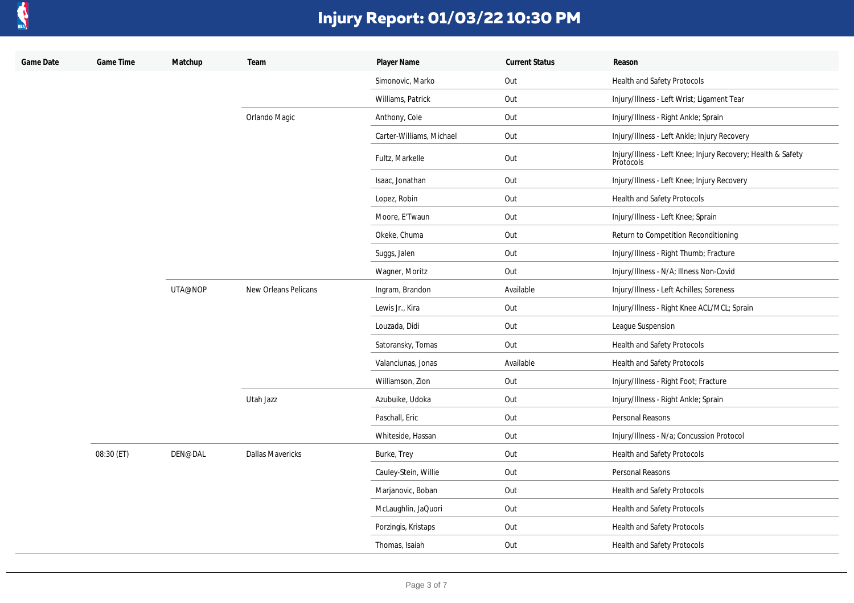

| Game Date | Game Time  | Matchup | Team                    | Player Name              | <b>Current Status</b> | Reason                                                                    |
|-----------|------------|---------|-------------------------|--------------------------|-----------------------|---------------------------------------------------------------------------|
|           |            |         |                         | Simonovic, Marko         | Out                   | Health and Safety Protocols                                               |
|           |            |         |                         | Williams, Patrick        | Out                   | Injury/Illness - Left Wrist; Ligament Tear                                |
|           |            |         | Orlando Magic           | Anthony, Cole            | Out                   | Injury/Illness - Right Ankle; Sprain                                      |
|           |            |         |                         | Carter-Williams, Michael | Out                   | Injury/Illness - Left Ankle; Injury Recovery                              |
|           |            |         |                         | Fultz, Markelle          | Out                   | Injury/Illness - Left Knee; Injury Recovery; Health & Safety<br>Protocols |
|           |            |         |                         | Isaac, Jonathan          | Out                   | Injury/Illness - Left Knee; Injury Recovery                               |
|           |            |         |                         | Lopez, Robin             | Out                   | Health and Safety Protocols                                               |
|           |            |         |                         | Moore, E'Twaun           | Out                   | Injury/Illness - Left Knee; Sprain                                        |
|           |            |         |                         | Okeke, Chuma             | Out                   | Return to Competition Reconditioning                                      |
|           |            |         |                         | Suggs, Jalen             | Out                   | Injury/Illness - Right Thumb; Fracture                                    |
|           |            |         |                         | Wagner, Moritz           | Out                   | Injury/Illness - N/A; Illness Non-Covid                                   |
|           |            | UTA@NOP | New Orleans Pelicans    | Ingram, Brandon          | Available             | Injury/Illness - Left Achilles; Soreness                                  |
|           |            |         |                         | Lewis Jr., Kira          | Out                   | Injury/Illness - Right Knee ACL/MCL; Sprain                               |
|           |            |         |                         | Louzada, Didi            | Out                   | League Suspension                                                         |
|           |            |         |                         | Satoransky, Tomas        | Out                   | Health and Safety Protocols                                               |
|           |            |         |                         | Valanciunas, Jonas       | Available             | Health and Safety Protocols                                               |
|           |            |         |                         | Williamson, Zion         | Out                   | Injury/Illness - Right Foot; Fracture                                     |
|           |            |         | Utah Jazz               | Azubuike, Udoka          | Out                   | Injury/Illness - Right Ankle; Sprain                                      |
|           |            |         |                         | Paschall, Eric           | Out                   | Personal Reasons                                                          |
|           |            |         |                         | Whiteside, Hassan        | Out                   | Injury/Illness - N/a; Concussion Protocol                                 |
|           | 08:30 (ET) | DEN@DAL | <b>Dallas Mavericks</b> | Burke, Trey              | Out                   | Health and Safety Protocols                                               |
|           |            |         |                         | Cauley-Stein, Willie     | Out                   | Personal Reasons                                                          |
|           |            |         |                         | Marjanovic, Boban        | Out                   | Health and Safety Protocols                                               |
|           |            |         |                         | McLaughlin, JaQuori      | Out                   | Health and Safety Protocols                                               |
|           |            |         |                         | Porzingis, Kristaps      | Out                   | Health and Safety Protocols                                               |
|           |            |         |                         | Thomas, Isaiah           | Out                   | Health and Safety Protocols                                               |
|           |            |         |                         |                          |                       |                                                                           |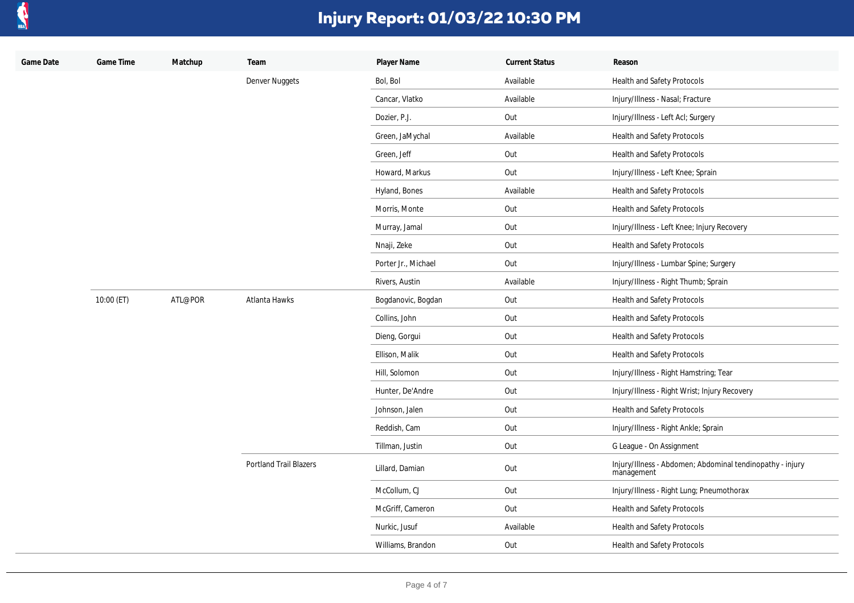

| Game Date | Game Time  | Matchup | Team                          | Player Name         | <b>Current Status</b> | Reason                                                                  |
|-----------|------------|---------|-------------------------------|---------------------|-----------------------|-------------------------------------------------------------------------|
|           |            |         | Denver Nuggets                | Bol, Bol            | Available             | Health and Safety Protocols                                             |
|           |            |         |                               | Cancar, Vlatko      | Available             | Injury/Illness - Nasal; Fracture                                        |
|           |            |         |                               | Dozier, P.J.        | Out                   | Injury/Illness - Left Acl; Surgery                                      |
|           |            |         |                               | Green, JaMychal     | Available             | Health and Safety Protocols                                             |
|           |            |         |                               | Green, Jeff         | Out                   | <b>Health and Safety Protocols</b>                                      |
|           |            |         |                               | Howard, Markus      | Out                   | Injury/Illness - Left Knee; Sprain                                      |
|           |            |         |                               | Hyland, Bones       | Available             | Health and Safety Protocols                                             |
|           |            |         |                               | Morris, Monte       | Out                   | Health and Safety Protocols                                             |
|           |            |         |                               | Murray, Jamal       | Out                   | Injury/Illness - Left Knee; Injury Recovery                             |
|           |            |         |                               | Nnaji, Zeke         | Out                   | Health and Safety Protocols                                             |
|           |            |         |                               | Porter Jr., Michael | Out                   | Injury/Illness - Lumbar Spine; Surgery                                  |
|           |            |         |                               | Rivers, Austin      | Available             | Injury/Illness - Right Thumb; Sprain                                    |
|           | 10:00 (ET) | ATL@POR | Atlanta Hawks                 | Bogdanovic, Bogdan  | Out                   | Health and Safety Protocols                                             |
|           |            |         |                               | Collins, John       | Out                   | Health and Safety Protocols                                             |
|           |            |         |                               | Dieng, Gorgui       | Out                   | Health and Safety Protocols                                             |
|           |            |         |                               | Ellison, Malik      | Out                   | Health and Safety Protocols                                             |
|           |            |         |                               | Hill, Solomon       | Out                   | Injury/Illness - Right Hamstring; Tear                                  |
|           |            |         |                               | Hunter, De'Andre    | Out                   | Injury/Illness - Right Wrist; Injury Recovery                           |
|           |            |         |                               | Johnson, Jalen      | Out                   | Health and Safety Protocols                                             |
|           |            |         |                               | Reddish, Cam        | Out                   | Injury/Illness - Right Ankle; Sprain                                    |
|           |            |         |                               | Tillman, Justin     | Out                   | G League - On Assignment                                                |
|           |            |         | <b>Portland Trail Blazers</b> | Lillard, Damian     | Out                   | Injury/Illness - Abdomen; Abdominal tendinopathy - injury<br>management |
|           |            |         |                               | McCollum, CJ        | Out                   | Injury/Illness - Right Lung; Pneumothorax                               |
|           |            |         |                               | McGriff, Cameron    | Out                   | Health and Safety Protocols                                             |
|           |            |         |                               | Nurkic, Jusuf       | Available             | Health and Safety Protocols                                             |
|           |            |         |                               | Williams, Brandon   | Out                   | Health and Safety Protocols                                             |
|           |            |         |                               |                     |                       |                                                                         |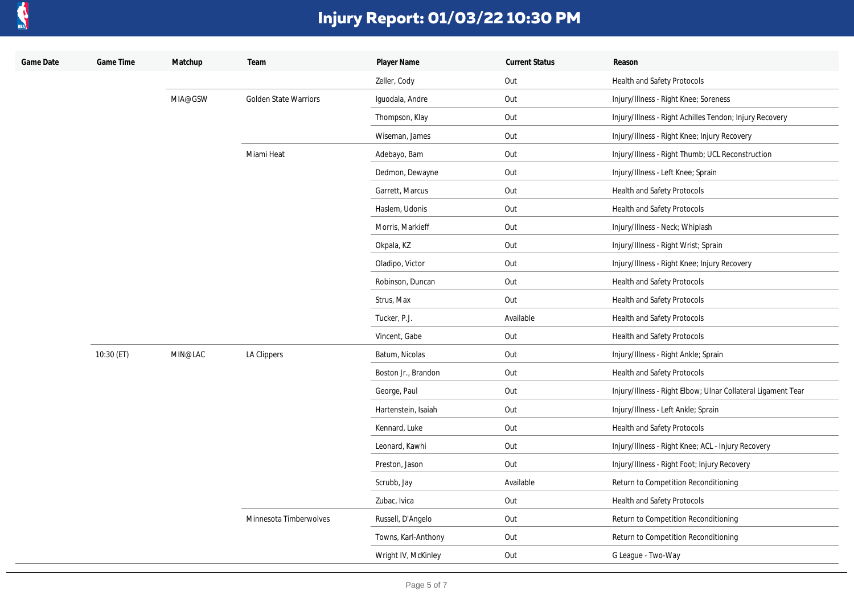

| Game Date | Game Time  | Matchup | Team                                  | Player Name         | <b>Current Status</b> | Reason                                                       |
|-----------|------------|---------|---------------------------------------|---------------------|-----------------------|--------------------------------------------------------------|
|           |            |         |                                       | Zeller, Cody        | Out                   | Health and Safety Protocols                                  |
|           |            | MIA@GSW | Golden State Warriors                 | Iguodala, Andre     | Out                   | Injury/Illness - Right Knee; Soreness                        |
|           |            |         |                                       | Thompson, Klay      | Out                   | Injury/Illness - Right Achilles Tendon; Injury Recovery      |
|           |            |         |                                       | Wiseman, James      | Out                   | Injury/Illness - Right Knee; Injury Recovery                 |
|           |            |         | Miami Heat                            | Adebayo, Bam        | Out                   | Injury/Illness - Right Thumb; UCL Reconstruction             |
|           |            |         |                                       | Dedmon, Dewayne     | Out                   | Injury/Illness - Left Knee; Sprain                           |
|           |            |         |                                       | Garrett, Marcus     | Out                   | Health and Safety Protocols                                  |
|           |            |         |                                       | Haslem, Udonis      | Out                   | Health and Safety Protocols                                  |
|           |            |         |                                       | Morris, Markieff    | Out                   | Injury/Illness - Neck; Whiplash                              |
|           |            |         |                                       | Okpala, KZ          | Out                   | Injury/Illness - Right Wrist; Sprain                         |
|           |            |         |                                       | Oladipo, Victor     | Out                   | Injury/Illness - Right Knee; Injury Recovery                 |
|           |            |         |                                       | Robinson, Duncan    | Out                   | Health and Safety Protocols                                  |
|           |            |         |                                       | Strus, Max          | Out                   | Health and Safety Protocols                                  |
|           |            |         |                                       | Tucker, P.J.        | Available             | Health and Safety Protocols                                  |
|           |            |         |                                       | Vincent, Gabe       | Out                   | Health and Safety Protocols                                  |
|           | 10:30 (ET) | MIN@LAC | LA Clippers<br>Minnesota Timberwolves | Batum, Nicolas      | Out                   | Injury/Illness - Right Ankle; Sprain                         |
|           |            |         |                                       | Boston Jr., Brandon | Out                   | Health and Safety Protocols                                  |
|           |            |         |                                       | George, Paul        | Out                   | Injury/Illness - Right Elbow; Ulnar Collateral Ligament Tear |
|           |            |         |                                       | Hartenstein, Isaiah | Out                   | Injury/Illness - Left Ankle; Sprain                          |
|           |            |         |                                       | Kennard, Luke       | Out                   | Health and Safety Protocols                                  |
|           |            |         |                                       | Leonard, Kawhi      | Out                   | Injury/Illness - Right Knee; ACL - Injury Recovery           |
|           |            |         |                                       | Preston, Jason      | Out                   | Injury/Illness - Right Foot; Injury Recovery                 |
|           |            |         |                                       | Scrubb, Jay         | Available             | Return to Competition Reconditioning                         |
|           |            |         |                                       | Zubac, Ivica        | Out                   | Health and Safety Protocols                                  |
|           |            |         |                                       | Russell, D'Angelo   | Out                   | Return to Competition Reconditioning                         |
|           |            |         |                                       | Towns, Karl-Anthony | Out                   | Return to Competition Reconditioning                         |
|           |            |         |                                       | Wright IV, McKinley | Out                   | G League - Two-Way                                           |
|           |            |         |                                       |                     |                       |                                                              |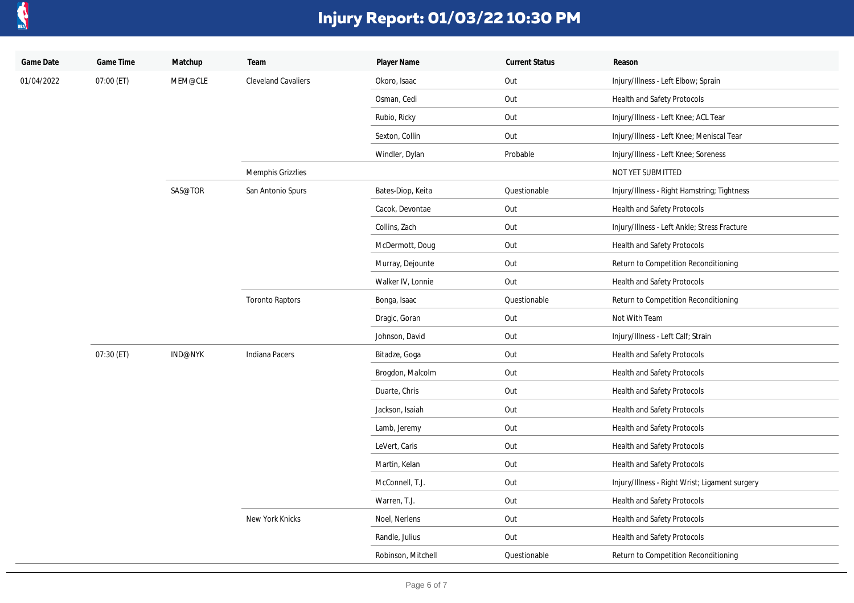

| Game Date  | Game Time  | Matchup | Team                       | Player Name        | <b>Current Status</b> | Reason                                         |
|------------|------------|---------|----------------------------|--------------------|-----------------------|------------------------------------------------|
| 01/04/2022 | 07:00 (ET) | MEM@CLE | <b>Cleveland Cavaliers</b> | Okoro, Isaac       | Out                   | Injury/Illness - Left Elbow; Sprain            |
|            |            |         |                            | Osman, Cedi        | Out                   | Health and Safety Protocols                    |
|            |            |         |                            | Rubio, Ricky       | Out                   | Injury/Illness - Left Knee; ACL Tear           |
|            |            |         |                            | Sexton, Collin     | Out                   | Injury/Illness - Left Knee; Meniscal Tear      |
|            |            |         |                            | Windler, Dylan     | Probable              | Injury/Illness - Left Knee; Soreness           |
|            |            |         | <b>Memphis Grizzlies</b>   |                    |                       | NOT YET SUBMITTED                              |
|            |            | SAS@TOR | San Antonio Spurs          | Bates-Diop, Keita  | Questionable          | Injury/Illness - Right Hamstring; Tightness    |
|            |            |         |                            | Cacok, Devontae    | Out                   | Health and Safety Protocols                    |
|            |            |         |                            | Collins, Zach      | Out                   | Injury/Illness - Left Ankle; Stress Fracture   |
|            |            |         |                            | McDermott, Doug    | Out                   | Health and Safety Protocols                    |
|            |            |         |                            | Murray, Dejounte   | Out                   | Return to Competition Reconditioning           |
|            |            |         |                            | Walker IV, Lonnie  | Out                   | Health and Safety Protocols                    |
|            |            |         | <b>Toronto Raptors</b>     | Bonga, Isaac       | Questionable          | Return to Competition Reconditioning           |
|            |            |         |                            | Dragic, Goran      | Out                   | Not With Team                                  |
|            |            |         |                            | Johnson, David     | Out                   | Injury/Illness - Left Calf; Strain             |
|            | 07:30 (ET) | IND@NYK | Indiana Pacers             | Bitadze, Goga      | Out                   | Health and Safety Protocols                    |
|            |            |         |                            | Brogdon, Malcolm   | Out                   | Health and Safety Protocols                    |
|            |            |         |                            | Duarte, Chris      | Out                   | Health and Safety Protocols                    |
|            |            |         |                            | Jackson, Isaiah    | Out                   | Health and Safety Protocols                    |
|            |            |         |                            | Lamb, Jeremy       | Out                   | Health and Safety Protocols                    |
|            |            |         |                            | LeVert, Caris      | Out                   | Health and Safety Protocols                    |
|            |            |         |                            | Martin, Kelan      | Out                   | Health and Safety Protocols                    |
|            |            |         |                            | McConnell, T.J.    | Out                   | Injury/Illness - Right Wrist; Ligament surgery |
|            |            |         |                            | Warren, T.J.       | Out                   | Health and Safety Protocols                    |
|            |            |         | New York Knicks            | Noel, Nerlens      | Out                   | Health and Safety Protocols                    |
|            |            |         |                            | Randle, Julius     | Out                   | Health and Safety Protocols                    |
|            |            |         |                            | Robinson, Mitchell | Questionable          | Return to Competition Reconditioning           |
|            |            |         |                            |                    |                       |                                                |